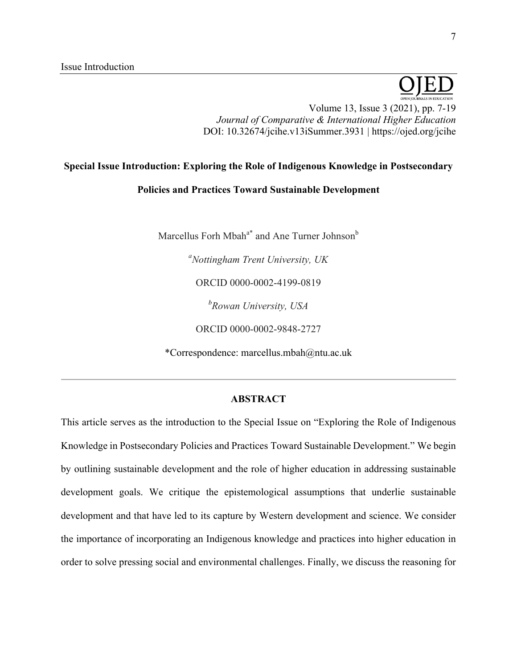# Volume 13, Issue 3 (2021), pp. 7-19 *Journal of Comparative & International Higher Education* DOI: 10.32674/jcihe.v13iSummer.3931 | https://ojed.org/jcihe

## **Special Issue Introduction: Exploring the Role of Indigenous Knowledge in Postsecondary**

## **Policies and Practices Toward Sustainable Development**

Marcellus Forh Mbah<sup>a\*</sup> and Ane Turner Johnson<sup>b</sup>

*a Nottingham Trent University, UK*

ORCID 0000-0002-4199-0819

*b Rowan University, USA*

ORCID 0000-0002-9848-2727

\*Correspondence: marcellus.mbah@ntu.ac.uk

## **ABSTRACT**

This article serves as the introduction to the Special Issue on "Exploring the Role of Indigenous Knowledge in Postsecondary Policies and Practices Toward Sustainable Development." We begin by outlining sustainable development and the role of higher education in addressing sustainable development goals. We critique the epistemological assumptions that underlie sustainable development and that have led to its capture by Western development and science. We consider the importance of incorporating an Indigenous knowledge and practices into higher education in order to solve pressing social and environmental challenges. Finally, we discuss the reasoning for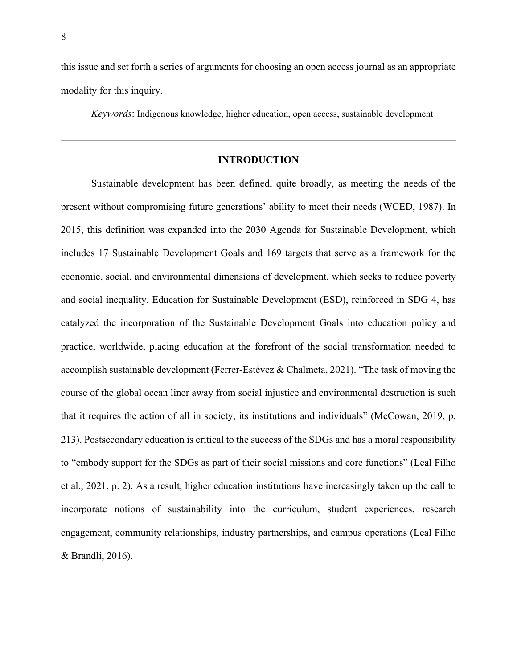this issue and set forth a series of arguments for choosing an open access journal as an appropriate modality for this inquiry.

*Keywords*: Indigenous knowledge, higher education, open access, sustainable development

### **INTRODUCTION**

Sustainable development has been defined, quite broadly, as meeting the needs of the present without compromising future generations' ability to meet their needs (WCED, 1987). In 2015, this definition was expanded into the 2030 Agenda for Sustainable Development, which includes 17 Sustainable Development Goals and 169 targets that serve as a framework for the economic, social, and environmental dimensions of development, which seeks to reduce poverty and social inequality. Education for Sustainable Development (ESD), reinforced in SDG 4, has catalyzed the incorporation of the Sustainable Development Goals into education policy and practice, worldwide, placing education at the forefront of the social transformation needed to accomplish sustainable development (Ferrer-Estévez & Chalmeta, 2021). "The task of moving the course of the global ocean liner away from social injustice and environmental destruction is such that it requires the action of all in society, its institutions and individuals" (McCowan, 2019, p. 213). Postsecondary education is critical to the success of the SDGs and has a moral responsibility to "embody support for the SDGs as part of their social missions and core functions" (Leal Filho et al., 2021, p. 2). As a result, higher education institutions have increasingly taken up the call to incorporate notions of sustainability into the curriculum, student experiences, research engagement, community relationships, industry partnerships, and campus operations (Leal Filho & Brandli, 2016).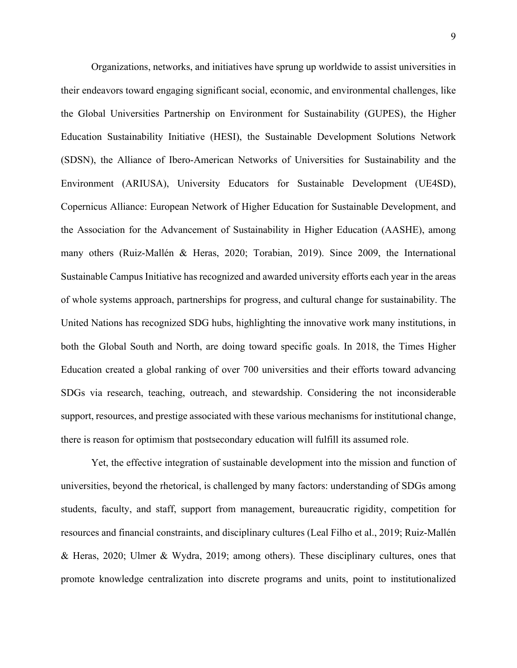Organizations, networks, and initiatives have sprung up worldwide to assist universities in their endeavors toward engaging significant social, economic, and environmental challenges, like the Global Universities Partnership on Environment for Sustainability (GUPES), the Higher Education Sustainability Initiative (HESI), the Sustainable Development Solutions Network (SDSN), the Alliance of Ibero-American Networks of Universities for Sustainability and the Environment (ARIUSA), University Educators for Sustainable Development (UE4SD), Copernicus Alliance: European Network of Higher Education for Sustainable Development, and the Association for the Advancement of Sustainability in Higher Education (AASHE), among many others (Ruiz-Mallén & Heras, 2020; Torabian, 2019). Since 2009, the International Sustainable Campus Initiative has recognized and awarded university efforts each year in the areas of whole systems approach, partnerships for progress, and cultural change for sustainability. The United Nations has recognized SDG hubs, highlighting the innovative work many institutions, in both the Global South and North, are doing toward specific goals. In 2018, the Times Higher Education created a global ranking of over 700 universities and their efforts toward advancing SDGs via research, teaching, outreach, and stewardship. Considering the not inconsiderable support, resources, and prestige associated with these various mechanisms for institutional change, there is reason for optimism that postsecondary education will fulfill its assumed role.

Yet, the effective integration of sustainable development into the mission and function of universities, beyond the rhetorical, is challenged by many factors: understanding of SDGs among students, faculty, and staff, support from management, bureaucratic rigidity, competition for resources and financial constraints, and disciplinary cultures (Leal Filho et al., 2019; Ruiz-Mallén & Heras, 2020; Ulmer & Wydra, 2019; among others). These disciplinary cultures, ones that promote knowledge centralization into discrete programs and units, point to institutionalized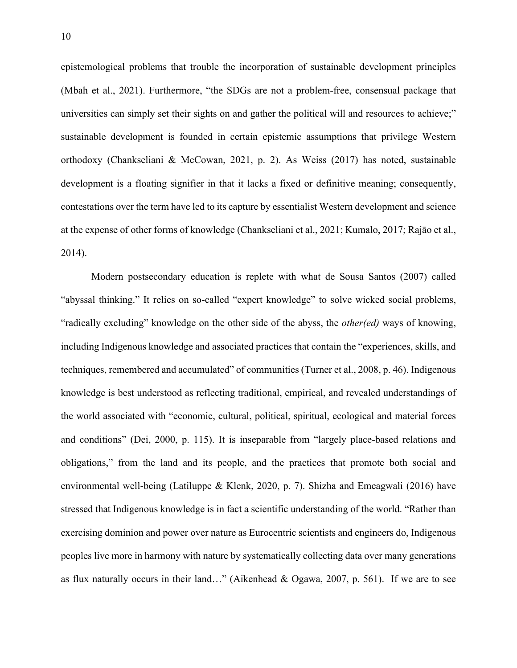epistemological problems that trouble the incorporation of sustainable development principles (Mbah et al., 2021). Furthermore, "the SDGs are not a problem-free, consensual package that universities can simply set their sights on and gather the political will and resources to achieve;" sustainable development is founded in certain epistemic assumptions that privilege Western orthodoxy (Chankseliani & McCowan, 2021, p. 2). As Weiss (2017) has noted, sustainable development is a floating signifier in that it lacks a fixed or definitive meaning; consequently, contestations over the term have led to its capture by essentialist Western development and science at the expense of other forms of knowledge (Chankseliani et al., 2021; Kumalo, 2017; Rajāo et al., 2014).

Modern postsecondary education is replete with what de Sousa Santos (2007) called "abyssal thinking." It relies on so-called "expert knowledge" to solve wicked social problems, "radically excluding" knowledge on the other side of the abyss, the *other(ed)* ways of knowing, including Indigenous knowledge and associated practices that contain the "experiences, skills, and techniques, remembered and accumulated" of communities (Turner et al., 2008, p. 46). Indigenous knowledge is best understood as reflecting traditional, empirical, and revealed understandings of the world associated with "economic, cultural, political, spiritual, ecological and material forces and conditions" (Dei, 2000, p. 115). It is inseparable from "largely place-based relations and obligations," from the land and its people, and the practices that promote both social and environmental well-being (Latiluppe & Klenk, 2020, p. 7). Shizha and Emeagwali (2016) have stressed that Indigenous knowledge is in fact a scientific understanding of the world. "Rather than exercising dominion and power over nature as Eurocentric scientists and engineers do, Indigenous peoples live more in harmony with nature by systematically collecting data over many generations as flux naturally occurs in their land…" (Aikenhead & Ogawa, 2007, p. 561). If we are to see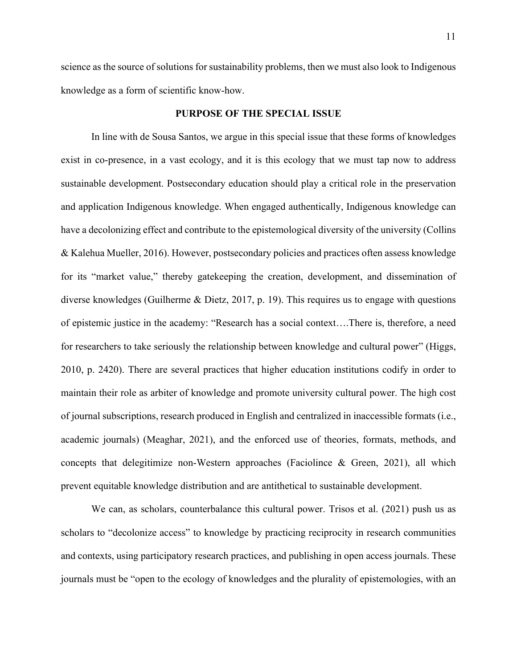science as the source of solutions for sustainability problems, then we must also look to Indigenous knowledge as a form of scientific know-how.

### **PURPOSE OF THE SPECIAL ISSUE**

In line with de Sousa Santos, we argue in this special issue that these forms of knowledges exist in co-presence, in a vast ecology, and it is this ecology that we must tap now to address sustainable development. Postsecondary education should play a critical role in the preservation and application Indigenous knowledge. When engaged authentically, Indigenous knowledge can have a decolonizing effect and contribute to the epistemological diversity of the university (Collins & Kalehua Mueller, 2016). However, postsecondary policies and practices often assess knowledge for its "market value," thereby gatekeeping the creation, development, and dissemination of diverse knowledges (Guilherme & Dietz, 2017, p. 19). This requires us to engage with questions of epistemic justice in the academy: "Research has a social context….There is, therefore, a need for researchers to take seriously the relationship between knowledge and cultural power" (Higgs, 2010, p. 2420). There are several practices that higher education institutions codify in order to maintain their role as arbiter of knowledge and promote university cultural power. The high cost of journal subscriptions, research produced in English and centralized in inaccessible formats (i.e., academic journals) (Meaghar, 2021), and the enforced use of theories, formats, methods, and concepts that delegitimize non-Western approaches (Faciolince  $\&$  Green, 2021), all which prevent equitable knowledge distribution and are antithetical to sustainable development.

We can, as scholars, counterbalance this cultural power. Trisos et al. (2021) push us as scholars to "decolonize access" to knowledge by practicing reciprocity in research communities and contexts, using participatory research practices, and publishing in open access journals. These journals must be "open to the ecology of knowledges and the plurality of epistemologies, with an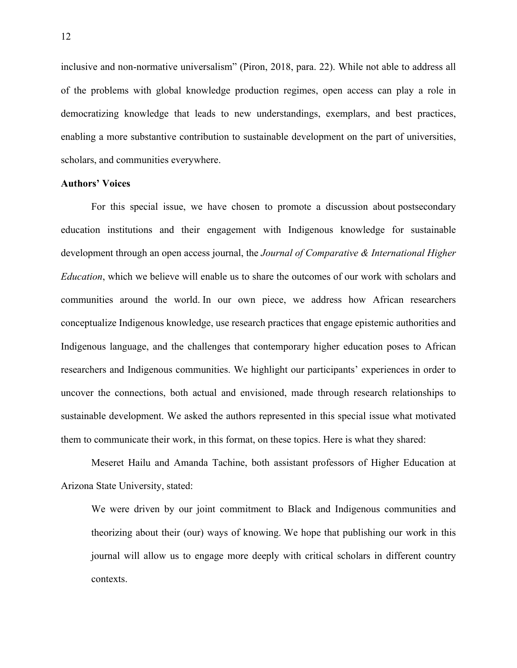inclusive and non-normative universalism" (Piron, 2018, para. 22). While not able to address all of the problems with global knowledge production regimes, open access can play a role in democratizing knowledge that leads to new understandings, exemplars, and best practices, enabling a more substantive contribution to sustainable development on the part of universities, scholars, and communities everywhere.

#### **Authors' Voices**

For this special issue, we have chosen to promote a discussion about postsecondary education institutions and their engagement with Indigenous knowledge for sustainable development through an open access journal, the *Journal of Comparative & International Higher Education*, which we believe will enable us to share the outcomes of our work with scholars and communities around the world. In our own piece, we address how African researchers conceptualize Indigenous knowledge, use research practices that engage epistemic authorities and Indigenous language, and the challenges that contemporary higher education poses to African researchers and Indigenous communities. We highlight our participants' experiences in order to uncover the connections, both actual and envisioned, made through research relationships to sustainable development. We asked the authors represented in this special issue what motivated them to communicate their work, in this format, on these topics. Here is what they shared:

Meseret Hailu and Amanda Tachine, both assistant professors of Higher Education at Arizona State University, stated:

We were driven by our joint commitment to Black and Indigenous communities and theorizing about their (our) ways of knowing. We hope that publishing our work in this journal will allow us to engage more deeply with critical scholars in different country contexts.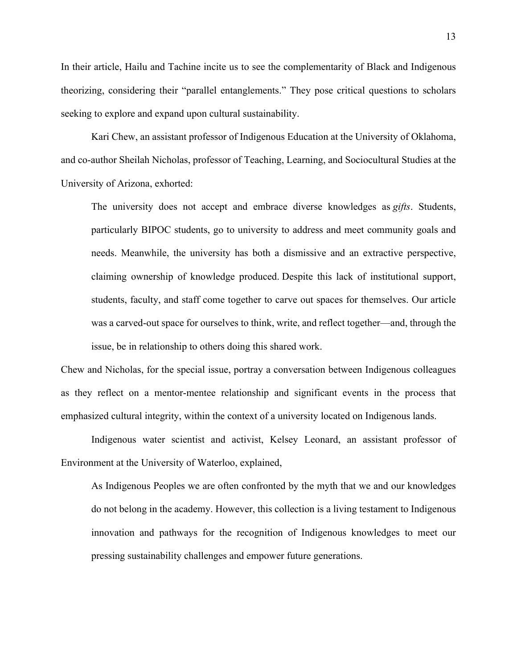In their article, Hailu and Tachine incite us to see the complementarity of Black and Indigenous theorizing, considering their "parallel entanglements." They pose critical questions to scholars seeking to explore and expand upon cultural sustainability.

Kari Chew, an assistant professor of Indigenous Education at the University of Oklahoma, and co-author Sheilah Nicholas, professor of Teaching, Learning, and Sociocultural Studies at the University of Arizona, exhorted:

The university does not accept and embrace diverse knowledges as *gifts*. Students, particularly BIPOC students, go to university to address and meet community goals and needs. Meanwhile, the university has both a dismissive and an extractive perspective, claiming ownership of knowledge produced. Despite this lack of institutional support, students, faculty, and staff come together to carve out spaces for themselves. Our article was a carved-out space for ourselves to think, write, and reflect together—and, through the issue, be in relationship to others doing this shared work.

Chew and Nicholas, for the special issue, portray a conversation between Indigenous colleagues as they reflect on a mentor-mentee relationship and significant events in the process that emphasized cultural integrity, within the context of a university located on Indigenous lands.

Indigenous water scientist and activist, Kelsey Leonard, an assistant professor of Environment at the University of Waterloo, explained,

As Indigenous Peoples we are often confronted by the myth that we and our knowledges do not belong in the academy. However, this collection is a living testament to Indigenous innovation and pathways for the recognition of Indigenous knowledges to meet our pressing sustainability challenges and empower future generations.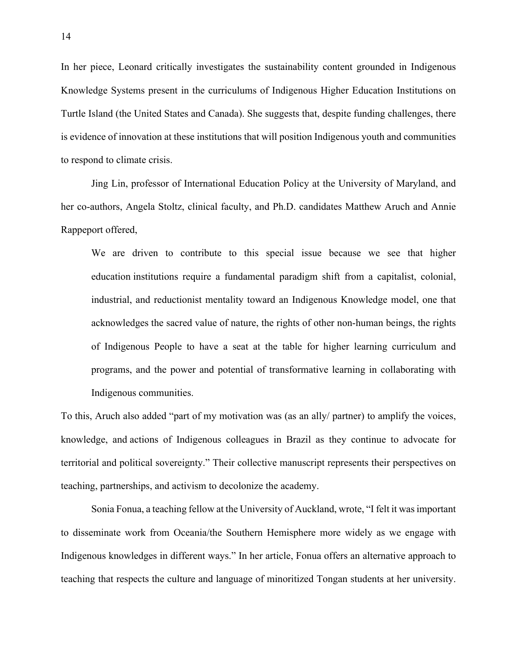In her piece, Leonard critically investigates the sustainability content grounded in Indigenous Knowledge Systems present in the curriculums of Indigenous Higher Education Institutions on Turtle Island (the United States and Canada). She suggests that, despite funding challenges, there is evidence of innovation at these institutions that will position Indigenous youth and communities to respond to climate crisis.

Jing Lin, professor of International Education Policy at the University of Maryland, and her co-authors, Angela Stoltz, clinical faculty, and Ph.D. candidates Matthew Aruch and Annie Rappeport offered,

We are driven to contribute to this special issue because we see that higher education institutions require a fundamental paradigm shift from a capitalist, colonial, industrial, and reductionist mentality toward an Indigenous Knowledge model, one that acknowledges the sacred value of nature, the rights of other non-human beings, the rights of Indigenous People to have a seat at the table for higher learning curriculum and programs, and the power and potential of transformative learning in collaborating with Indigenous communities.

To this, Aruch also added "part of my motivation was (as an ally/ partner) to amplify the voices, knowledge, and actions of Indigenous colleagues in Brazil as they continue to advocate for territorial and political sovereignty." Their collective manuscript represents their perspectives on teaching, partnerships, and activism to decolonize the academy.

Sonia Fonua, a teaching fellow at the University of Auckland, wrote, "I felt it was important to disseminate work from Oceania/the Southern Hemisphere more widely as we engage with Indigenous knowledges in different ways." In her article, Fonua offers an alternative approach to teaching that respects the culture and language of minoritized Tongan students at her university.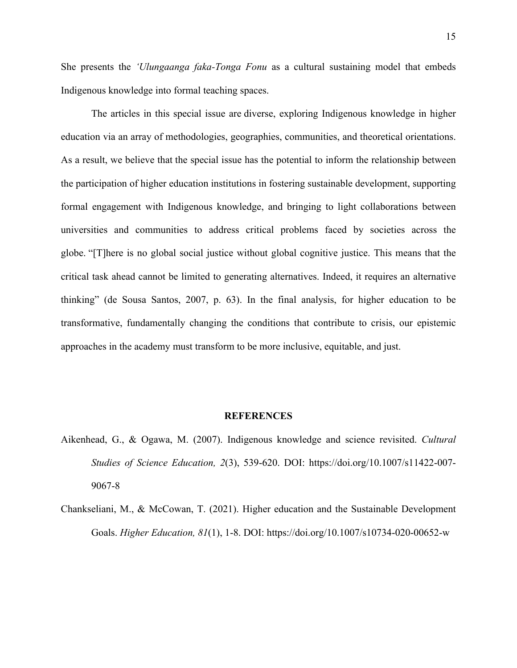She presents the *'Ulungaanga faka-Tonga Fonu* as a cultural sustaining model that embeds Indigenous knowledge into formal teaching spaces.

The articles in this special issue are diverse, exploring Indigenous knowledge in higher education via an array of methodologies, geographies, communities, and theoretical orientations. As a result, we believe that the special issue has the potential to inform the relationship between the participation of higher education institutions in fostering sustainable development, supporting formal engagement with Indigenous knowledge, and bringing to light collaborations between universities and communities to address critical problems faced by societies across the globe. "[T]here is no global social justice without global cognitive justice. This means that the critical task ahead cannot be limited to generating alternatives. Indeed, it requires an alternative thinking" (de Sousa Santos, 2007, p. 63). In the final analysis, for higher education to be transformative, fundamentally changing the conditions that contribute to crisis, our epistemic approaches in the academy must transform to be more inclusive, equitable, and just.

#### **REFERENCES**

- Aikenhead, G., & Ogawa, M. (2007). Indigenous knowledge and science revisited. *Cultural Studies of Science Education, 2*(3), 539-620. DOI: https://doi.org/10.1007/s11422-007- 9067-8
- Chankseliani, M., & McCowan, T. (2021). Higher education and the Sustainable Development Goals. *Higher Education, 81*(1), 1-8. DOI: https://doi.org/10.1007/s10734-020-00652-w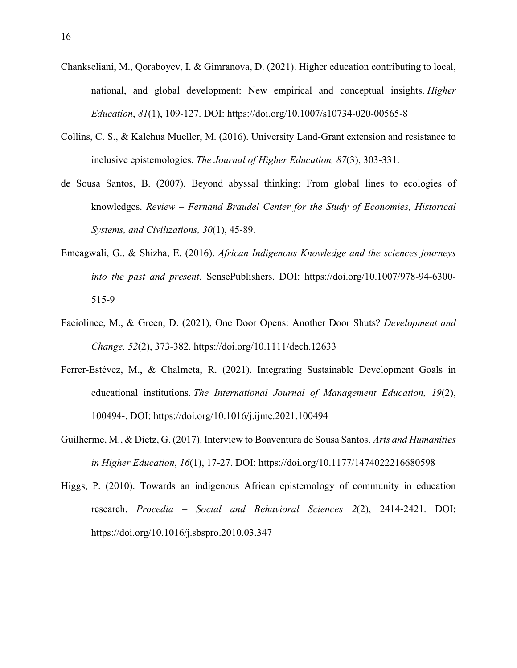- Chankseliani, M., Qoraboyev, I. & Gimranova, D. (2021). Higher education contributing to local, national, and global development: New empirical and conceptual insights. *Higher Education*, *81*(1), 109-127. DOI: https://doi.org/10.1007/s10734-020-00565-8
- Collins, C. S., & Kalehua Mueller, M. (2016). University Land-Grant extension and resistance to inclusive epistemologies. *The Journal of Higher Education, 87*(3), 303-331.
- de Sousa Santos, B. (2007). Beyond abyssal thinking: From global lines to ecologies of knowledges. *Review – Fernand Braudel Center for the Study of Economies, Historical Systems, and Civilizations, 30*(1), 45-89.
- Emeagwali, G., & Shizha, E. (2016). *African Indigenous Knowledge and the sciences journeys into the past and present*. SensePublishers. DOI: https://doi.org/10.1007/978-94-6300- 515-9
- Faciolince, M., & Green, D. (2021), One Door Opens: Another Door Shuts? *Development and Change, 52*(2), 373-382. https://doi.org/10.1111/dech.12633
- Ferrer-Estévez, M., & Chalmeta, R. (2021). Integrating Sustainable Development Goals in educational institutions. *The International Journal of Management Education, 19*(2), 100494-. DOI: https://doi.org/10.1016/j.ijme.2021.100494
- Guilherme, M., & Dietz, G. (2017). Interview to Boaventura de Sousa Santos. *Arts and Humanities in Higher Education*, *16*(1), 17-27. DOI: https://doi.org/10.1177/1474022216680598
- Higgs, P. (2010). Towards an indigenous African epistemology of community in education research. *Procedia – Social and Behavioral Sciences 2*(2), 2414-2421. DOI: https://doi.org/10.1016/j.sbspro.2010.03.347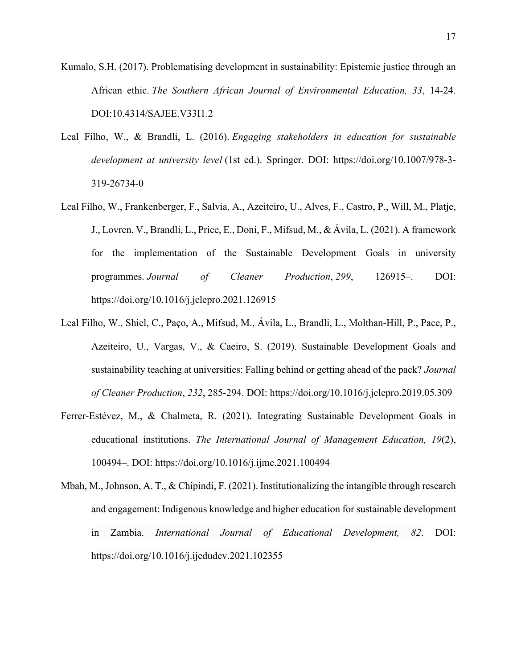Kumalo, S.H. (2017). Problematising development in sustainability: Epistemic justice through an African ethic. *The Southern African Journal of Environmental Education, 33*, 14-24. DOI:10.4314/SAJEE.V33I1.2

- Leal Filho, W., & Brandli, L. (2016). *Engaging stakeholders in education for sustainable development at university level* (1st ed.). Springer. DOI: https://doi.org/10.1007/978-3- 319-26734-0
- Leal Filho, W., Frankenberger, F., Salvia, A., Azeiteiro, U., Alves, F., Castro, P., Will, M., Platje, J., Lovren, V., Brandli, L., Price, E., Doni, F., Mifsud, M., & Ávila, L. (2021). A framework for the implementation of the Sustainable Development Goals in university programmes. *Journal of Cleaner Production*, *299*, 126915–. DOI: https://doi.org/10.1016/j.jclepro.2021.126915
- Leal Filho, W., Shiel, C., Paço, A., Mifsud, M., Ávila, L., Brandli, L., Molthan-Hill, P., Pace, P., Azeiteiro, U., Vargas, V., & Caeiro, S. (2019). Sustainable Development Goals and sustainability teaching at universities: Falling behind or getting ahead of the pack? *Journal of Cleaner Production*, *232*, 285-294. DOI: https://doi.org/10.1016/j.jclepro.2019.05.309
- Ferrer-Estévez, M., & Chalmeta, R. (2021). Integrating Sustainable Development Goals in educational institutions. *The International Journal of Management Education, 19*(2), 100494–. DOI: https://doi.org/10.1016/j.ijme.2021.100494
- Mbah, M., Johnson, A. T., & Chipindi, F. (2021). Institutionalizing the intangible through research and engagement: Indigenous knowledge and higher education for sustainable development in Zambia. *International Journal of Educational Development, 82*. DOI: https://doi.org/10.1016/j.ijedudev.2021.102355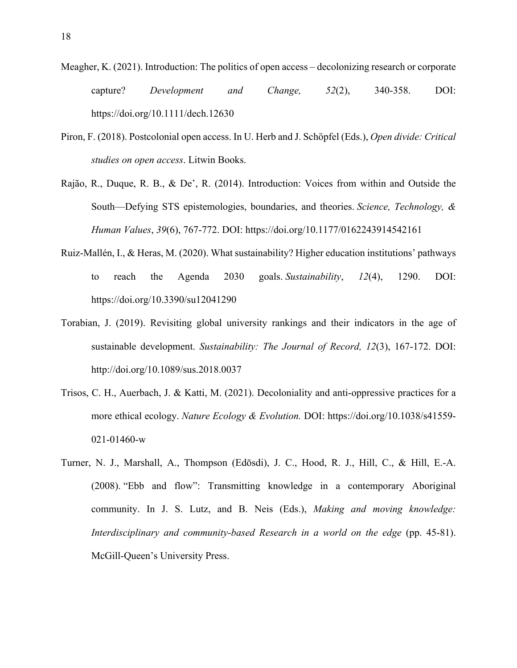- Meagher, K. (2021). Introduction: The politics of open access decolonizing research or corporate capture? *Development and Change, 52*(2), 340-358. DOI: https://doi.org/10.1111/dech.12630
- Piron, F. (2018). Postcolonial open access. In U. Herb and J. Schöpfel (Eds.), *Open divide: Critical studies on open access*. Litwin Books.
- Rajão, R., Duque, R. B., & De', R. (2014). Introduction: Voices from within and Outside the South—Defying STS epistemologies, boundaries, and theories. *Science, Technology, & Human Values*, *39*(6), 767-772. DOI: https://doi.org/10.1177/0162243914542161
- Ruiz-Mallén, I., & Heras, M. (2020). What sustainability? Higher education institutions' pathways to reach the Agenda 2030 goals. *Sustainability*, *12*(4), 1290. DOI: https://doi.org/10.3390/su12041290
- Torabian, J. (2019). Revisiting global university rankings and their indicators in the age of sustainable development. *Sustainability: The Journal of Record, 12*(3), 167-172. DOI: http://doi.org/10.1089/sus.2018.0037
- Trisos, C. H., Auerbach, J. & Katti, M. (2021). Decoloniality and anti-oppressive practices for a more ethical ecology. *Nature Ecology & Evolution.* DOI: https://doi.org/10.1038/s41559- 021-01460-w
- Turner, N. J., Marshall, A., Thompson (Edōsdi), J. C., Hood, R. J., Hill, C., & Hill, E.-A. (2008). "Ebb and flow": Transmitting knowledge in a contemporary Aboriginal community. In J. S. Lutz, and B. Neis (Eds.), *Making and moving knowledge: Interdisciplinary and community-based Research in a world on the edge* (pp. 45-81). McGill-Queen's University Press.